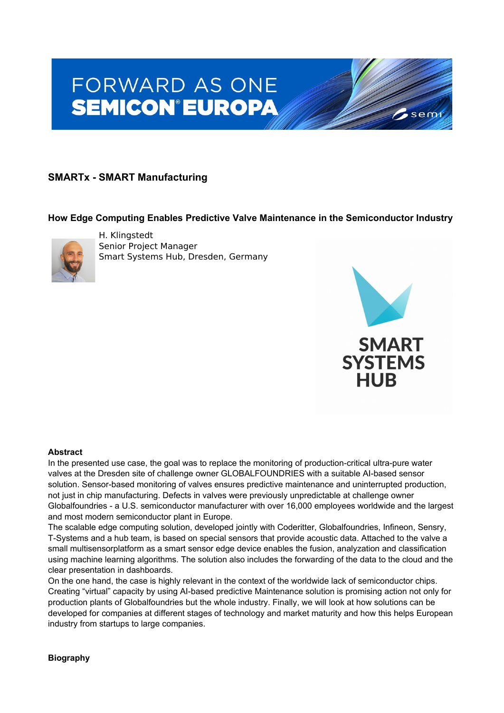# **FORWARD AS ONE SEMICON®EUROPA**

## **SMARTx - SMART Manufacturing**

### **How Edge Computing Enables Predictive Valve Maintenance in the Semiconductor Industry**



H. Klingstedt Senior Project Manager Smart Systems Hub, Dresden, Germany



sem

#### **Abstract**

In the presented use case, the goal was to replace the monitoring of production-critical ultra-pure water valves at the Dresden site of challenge owner GLOBALFOUNDRIES with a suitable AI-based sensor solution. Sensor-based monitoring of valves ensures predictive maintenance and uninterrupted production, not just in chip manufacturing. Defects in valves were previously unpredictable at challenge owner Globalfoundries - a U.S. semiconductor manufacturer with over 16,000 employees worldwide and the largest and most modern semiconductor plant in Europe.

The scalable edge computing solution, developed jointly with Coderitter, Globalfoundries, Infineon, Sensry, T-Systems and a hub team, is based on special sensors that provide acoustic data. Attached to the valve a small multisensorplatform as a smart sensor edge device enables the fusion, analyzation and classification using machine learning algorithms. The solution also includes the forwarding of the data to the cloud and the clear presentation in dashboards.

On the one hand, the case is highly relevant in the context of the worldwide lack of semiconductor chips. Creating "virtual" capacity by using AI-based predictive Maintenance solution is promising action not only for production plants of Globalfoundries but the whole industry. Finally, we will look at how solutions can be developed for companies at different stages of technology and market maturity and how this helps European industry from startups to large companies.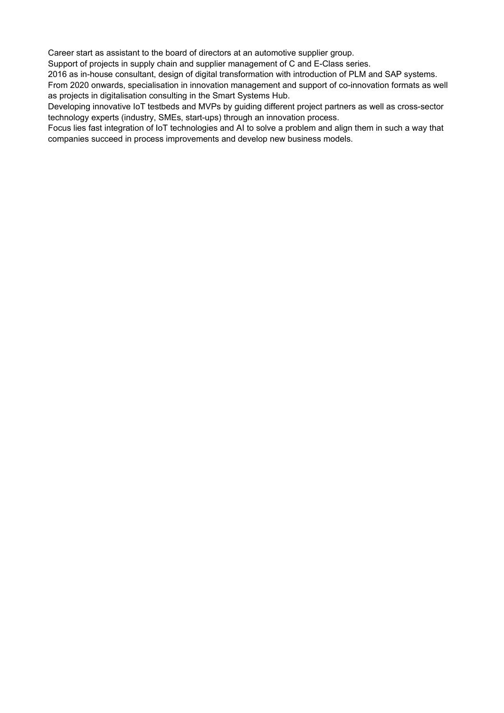Career start as assistant to the board of directors at an automotive supplier group.

Support of projects in supply chain and supplier management of C and E-Class series.

2016 as in-house consultant, design of digital transformation with introduction of PLM and SAP systems.

From 2020 onwards, specialisation in innovation management and support of co-innovation formats as well as projects in digitalisation consulting in the Smart Systems Hub.

Developing innovative IoT testbeds and MVPs by guiding different project partners as well as cross-sector technology experts (industry, SMEs, start-ups) through an innovation process.

Focus lies fast integration of IoT technologies and AI to solve a problem and align them in such a way that companies succeed in process improvements and develop new business models.